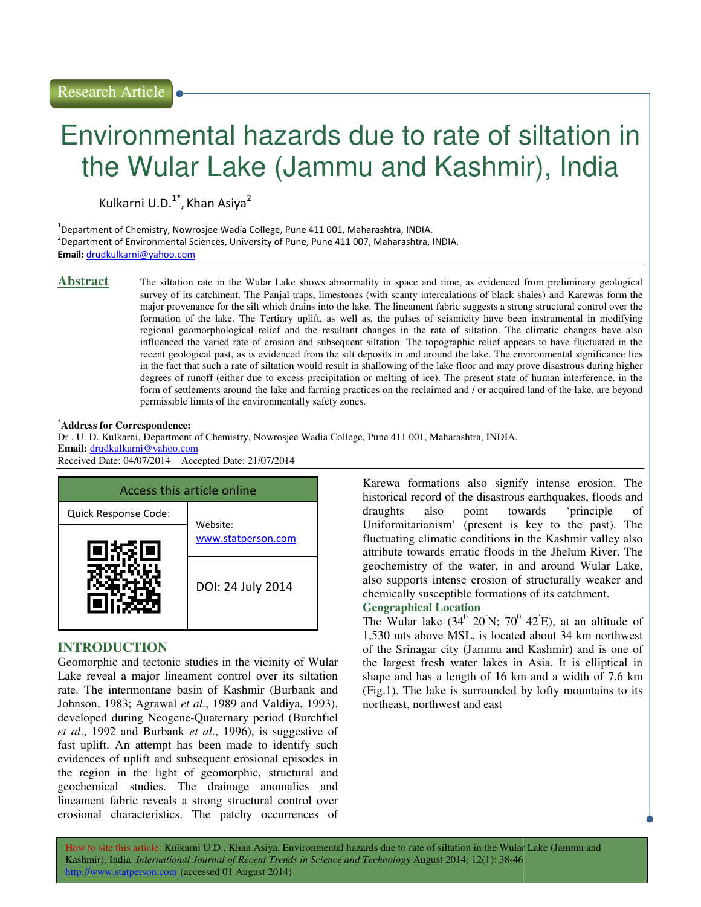# Environmental hazards due to rate of siltation in Environmental the Wular Lake (Jammu and Kashmir), India

Kulkarni U.D.<sup>1\*</sup>, Khan Asiya<sup>2</sup>

 $^1$ Department of Chemistry, Nowrosjee Wadia College, Pune 411 001, Maharashtra, INDIA. <sup>2</sup>Department of Environmental Sciences, University of Pune, Pune 411 007, Maharashtra, INDIA. Email: drudkulkarni@yahoo.com

Abstract The siltation rate in the Wular Lake shows abnormality in space and time, as evidenced from preliminary geological survey of its catchment. The Panjal traps, limestones (with scanty intercalations of black shales) and Karewas form the survey of its catchment. The Panjal traps, limestones (with scanty intercalations of black shales) and Karewas form the<br>major provenance for the silt which drains into the lake. The lineament fabric suggests a strong struc formation of the lake. The Tertiary uplift, as well as, the pulses of seismicity have been instrumental in modifying formation of the lake. The Tertiary uplift, as well as, the pulses of seismicity have been instrumental in modifying<br>regional geomorphological relief and the resultant changes in the rate of siltation. The climatic changes influenced the varied rate of erosion and subsequent siltation. The topographic relief appears to have fluctuated in the recent geological past, as is evidenced from the silt deposits in and around the lake. The environmental significance lies in the fact that such a rate of siltation would result in shallowing of the lake floor and may prove disastrous during higher degrees of runoff (either due to excess precipitation or melting of ice). The present state of human interference, in the form of settlements around the lake and farming practices on the reclaimed and / or acquired land of the lake, are beyond permissible limits of the environmentally safety zones. influenced the varied rate of erosion and subsequent siltation. The topographic relief appears to have recent geological past, as is evidenced from the silt deposits in and around the lake. The environmental in the fact th

#### **\*Address for Correspondence:**

Dr . U. D. Kulkarni, Department of Chemistry, Nowrosjee Wadia College, Pune 411 001, Maharashtra, INDIA. **Email:** drudkulkarni@yahoo.com Received Date: 04/07/2014 Accepted Date: 21/0

| Access this article online |                    |
|----------------------------|--------------------|
| Quick Response Code:       | Website:           |
|                            | www.statperson.com |
|                            | DOI: 24 July 2014  |

#### **INTRODUCTION**

Geomorphic and tectonic studies in the vicinity of Wular Lake reveal a major lineament control over its siltation rate. The intermontane basin of Kashmir (Burbank and Johnson, 1983; Agrawal *et al*., 1989 and Valdiya, 1993), developed during Neogene-Quaternary period (Burchfiel *et al*., 1992 and Burbank *et al*., 1996), is suggestive of fast uplift. An attempt has been made to identify such evidences of uplift and subsequent erosional episodes in the region in the light of geomorphic, structural and geochemical studies. The drainage anomalies and lineament fabric reveals a strong structural control over erosional characteristics. The patchy occurrences of **Access this article online**<br>
Mistorical record of the disastrous earthquarkes, floods and<br>
Quick Response Code:<br>
Website:<br>
Website:<br>
Website:<br>
Website:<br>
Website:<br>
Website:<br>
Website:<br>
Website:<br>
Website:<br>
Website:<br>
Website

Karewa formations also signify intense erosion. The historical record of the disastrous earthquakes, floods and draughts also point towards 'principle of Uniformitarianism' (present is key to the past). The fluctuating climatic conditions in the Kashmir valley also attribute towards erratic floods in the Jhelum River. The geochemistry of the water, in and around Wular Lake, also supports intense erosion of structurally weaker and chemically susceptible formations of its catchment. **Geographical Location**  in space and time, as evidenced from preliminary geological<br>th scany intercalations of black shales) and Karewas form the<br>he linearnent fabric suggests a strong structural control over the<br>ges in the rate of silication. T Uniformitarianism' (present is key to the past) fluctuating climatic conditions in the Kashmir valle attribute towards erratic floods in the Jhelum Rive geochemistry of the water, in and around Wular also supports intense

#### The Wular lake  $(34^0 \t20^6)$ N; 70<sup>0</sup> 42<sup>'</sup>E), at an altitude of 1,530 mts above MSL, is located about 34 km northwest of the Srinagar city (Jammu and Kashmir) and is one of the largest fresh water lakes in Asia. It is elliptical in shape and has a length of 16 km and a width of 7.6 km shape and has a length of 16 km and a width of 7.6 km (Fig.1). The lake is surrounded by lofty mountains to its northeast, northwest and east

How to site this article: Kulkarni U.D., Khan Asiya. Environmental hazards due to rate of siltation in the Wular Lake (Jammu and Kashmir), India. *International Journal of Recent Trends in Science and Technology August 2014; 12(1): 38-46* http://www.statperson.com (accessed 01 August 2014)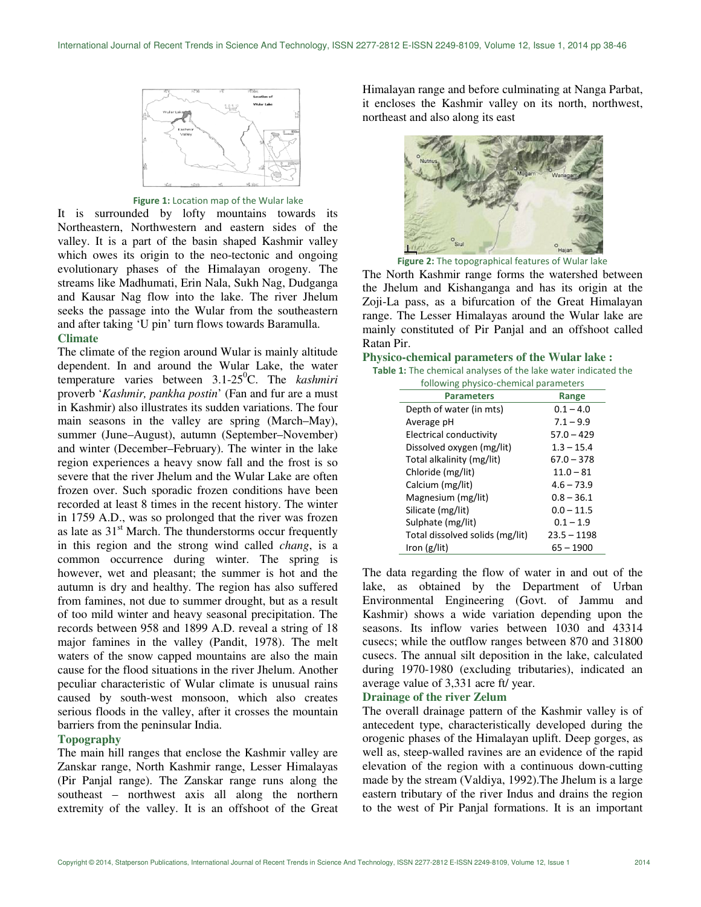

Figure 1: Location map of the Wular lake

It is surrounded by lofty mountains towards its Northeastern, Northwestern and eastern sides of the valley. It is a part of the basin shaped Kashmir valley which owes its origin to the neo-tectonic and ongoing evolutionary phases of the Himalayan orogeny. The streams like Madhumati, Erin Nala, Sukh Nag, Dudganga and Kausar Nag flow into the lake. The river Jhelum seeks the passage into the Wular from the southeastern and after taking 'U pin' turn flows towards Baramulla. **Climate** 

The climate of the region around Wular is mainly altitude dependent. In and around the Wular Lake, the water temperature varies between 3.1-25<sup>0</sup>C. The *kashmiri* proverb '*Kashmir, pankha postin*' (Fan and fur are a must in Kashmir) also illustrates its sudden variations. The four main seasons in the valley are spring (March–May), summer (June–August), autumn (September–November) and winter (December–February). The winter in the lake region experiences a heavy snow fall and the frost is so severe that the river Jhelum and the Wular Lake are often frozen over. Such sporadic frozen conditions have been recorded at least 8 times in the recent history. The winter in 1759 A.D., was so prolonged that the river was frozen as late as  $31<sup>st</sup>$  March. The thunderstorms occur frequently in this region and the strong wind called *chang*, is a common occurrence during winter. The spring is however, wet and pleasant; the summer is hot and the autumn is dry and healthy. The region has also suffered from famines, not due to summer drought, but as a result of too mild winter and heavy seasonal precipitation. The records between 958 and 1899 A.D. reveal a string of 18 major famines in the valley (Pandit, 1978). The melt waters of the snow capped mountains are also the main cause for the flood situations in the river Jhelum. Another peculiar characteristic of Wular climate is unusual rains caused by south-west monsoon, which also creates serious floods in the valley, after it crosses the mountain barriers from the peninsular India.

#### **Topography**

The main hill ranges that enclose the Kashmir valley are Zanskar range, North Kashmir range, Lesser Himalayas (Pir Panjal range). The Zanskar range runs along the southeast – northwest axis all along the northern extremity of the valley. It is an offshoot of the Great

Himalayan range and before culminating at Nanga Parbat, it encloses the Kashmir valley on its north, northwest, northeast and also along its east



Figure 2: The topographical features of Wular lake

The North Kashmir range forms the watershed between the Jhelum and Kishanganga and has its origin at the Zoji-La pass, as a bifurcation of the Great Himalayan range. The Lesser Himalayas around the Wular lake are mainly constituted of Pir Panjal and an offshoot called Ratan Pir.

## **Physico-chemical parameters of the Wular lake :**<br>**Table 1:** The chemical analyses of the lake water indicated

| <b>Table 1:</b> The chemical analyses of the lake water indicated the |  |
|-----------------------------------------------------------------------|--|
| following physico-chemical parameters                                 |  |

| <b>Parameters</b>               | Range         |
|---------------------------------|---------------|
| Depth of water (in mts)         | $0.1 - 4.0$   |
| Average pH                      | $7.1 - 9.9$   |
| Electrical conductivity         | $57.0 - 429$  |
| Dissolved oxygen (mg/lit)       | $1.3 - 15.4$  |
| Total alkalinity (mg/lit)       | $67.0 - 378$  |
| Chloride (mg/lit)               | $11.0 - 81$   |
| Calcium (mg/lit)                | $4.6 - 73.9$  |
| Magnesium (mg/lit)              | $0.8 - 36.1$  |
| Silicate (mg/lit)               | $0.0 - 11.5$  |
| Sulphate (mg/lit)               | $0.1 - 1.9$   |
| Total dissolved solids (mg/lit) | $23.5 - 1198$ |
| Iron $(g/$ lit)                 | $65 - 1900$   |

The data regarding the flow of water in and out of the lake, as obtained by the Department of Urban Environmental Engineering (Govt. of Jammu and Kashmir) shows a wide variation depending upon the seasons. Its inflow varies between 1030 and 43314 cusecs; while the outflow ranges between 870 and 31800 cusecs. The annual silt deposition in the lake, calculated during 1970-1980 (excluding tributaries), indicated an average value of 3,331 acre ft/ year.

#### **Drainage of the river Zelum**

The overall drainage pattern of the Kashmir valley is of antecedent type, characteristically developed during the orogenic phases of the Himalayan uplift. Deep gorges, as well as, steep-walled ravines are an evidence of the rapid elevation of the region with a continuous down-cutting made by the stream (Valdiya, 1992).The Jhelum is a large eastern tributary of the river Indus and drains the region to the west of Pir Panjal formations. It is an important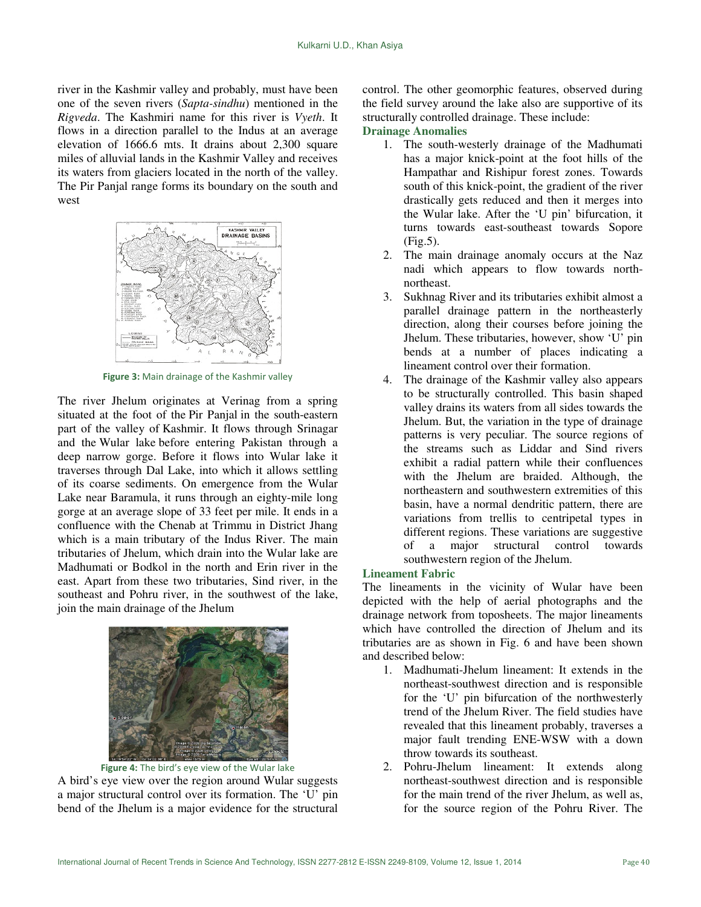river in the Kashmir valley and probably, must have been one of the seven rivers (*Sapta-sindhu*) mentioned in the *Rigveda*. The Kashmiri name for this river is *Vyeth*. It flows in a direction parallel to the Indus at an average elevation of 1666.6 mts. It drains about 2,300 square miles of alluvial lands in the Kashmir Valley and receives its waters from glaciers located in the north of the valley. The Pir Panjal range forms its boundary on the south and west



Figure 3: Main drainage of the Kashmir valley

The river Jhelum originates at Verinag from a spring situated at the foot of the Pir Panjal in the south-eastern part of the valley of Kashmir. It flows through Srinagar and the Wular lake before entering Pakistan through a deep narrow gorge. Before it flows into Wular lake it traverses through Dal Lake, into which it allows settling of its coarse sediments. On emergence from the Wular Lake near Baramula, it runs through an eighty-mile long gorge at an average slope of 33 feet per mile. It ends in a confluence with the Chenab at Trimmu in District Jhang which is a main tributary of the Indus River. The main tributaries of Jhelum, which drain into the Wular lake are Madhumati or Bodkol in the north and Erin river in the east. Apart from these two tributaries, Sind river, in the southeast and Pohru river, in the southwest of the lake, join the main drainage of the Jhelum



Figure 4: The bird's eye view of the Wular lake

A bird's eye view over the region around Wular suggests a major structural control over its formation. The 'U' pin bend of the Jhelum is a major evidence for the structural control. The other geomorphic features, observed during the field survey around the lake also are supportive of its structurally controlled drainage. These include:

#### **Drainage Anomalies**

- 1. The south-westerly drainage of the Madhumati has a major knick-point at the foot hills of the Hampathar and Rishipur forest zones. Towards south of this knick-point, the gradient of the river drastically gets reduced and then it merges into the Wular lake. After the 'U pin' bifurcation, it turns towards east-southeast towards Sopore (Fig.5).
- 2. The main drainage anomaly occurs at the Naz nadi which appears to flow towards northnortheast.
- 3. Sukhnag River and its tributaries exhibit almost a parallel drainage pattern in the northeasterly direction, along their courses before joining the Jhelum. These tributaries, however, show 'U' pin bends at a number of places indicating a lineament control over their formation.
- 4. The drainage of the Kashmir valley also appears to be structurally controlled. This basin shaped valley drains its waters from all sides towards the Jhelum. But, the variation in the type of drainage patterns is very peculiar. The source regions of the streams such as Liddar and Sind rivers exhibit a radial pattern while their confluences with the Jhelum are braided. Although, the northeastern and southwestern extremities of this basin, have a normal dendritic pattern, there are variations from trellis to centripetal types in different regions. These variations are suggestive of a major structural control towards southwestern region of the Jhelum.

#### **Lineament Fabric**

The lineaments in the vicinity of Wular have been depicted with the help of aerial photographs and the drainage network from toposheets. The major lineaments which have controlled the direction of Jhelum and its tributaries are as shown in Fig. 6 and have been shown and described below:

- 1. Madhumati-Jhelum lineament: It extends in the northeast-southwest direction and is responsible for the 'U' pin bifurcation of the northwesterly trend of the Jhelum River. The field studies have revealed that this lineament probably, traverses a major fault trending ENE-WSW with a down throw towards its southeast.
- 2. Pohru-Jhelum lineament: It extends along northeast-southwest direction and is responsible for the main trend of the river Jhelum, as well as, for the source region of the Pohru River. The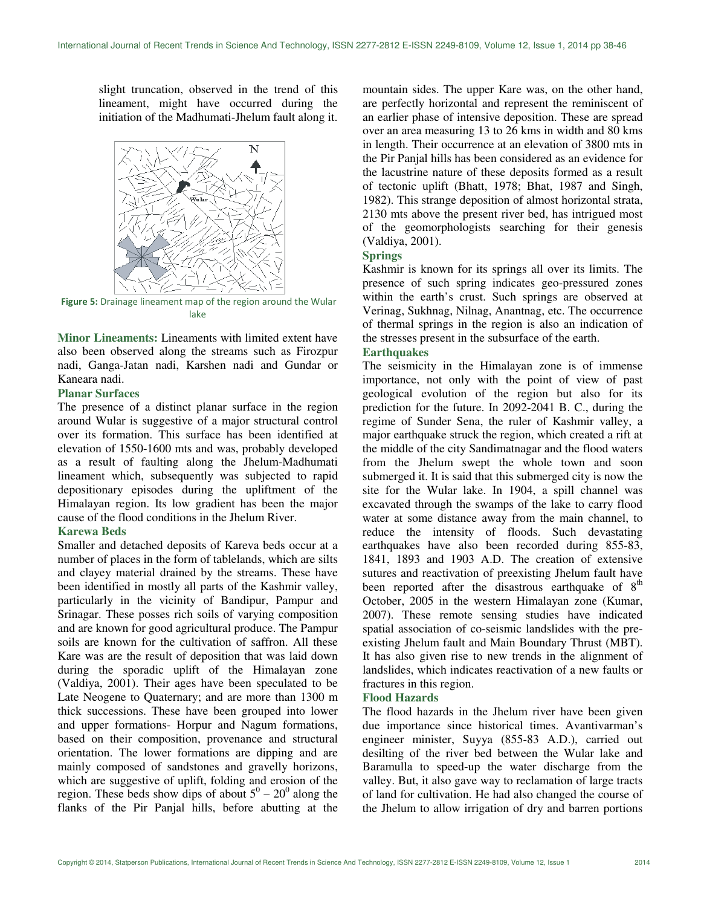slight truncation, observed in the trend of this lineament, might have occurred during the initiation of the Madhumati-Jhelum fault along it.



Figure 5: Drainage lineament map of the region around the Wular lake

**Minor Lineaments:** Lineaments with limited extent have also been observed along the streams such as Firozpur nadi, Ganga-Jatan nadi, Karshen nadi and Gundar or Kaneara nadi.

#### **Planar Surfaces**

The presence of a distinct planar surface in the region around Wular is suggestive of a major structural control over its formation. This surface has been identified at elevation of 1550-1600 mts and was, probably developed as a result of faulting along the Jhelum-Madhumati lineament which, subsequently was subjected to rapid depositionary episodes during the upliftment of the Himalayan region. Its low gradient has been the major cause of the flood conditions in the Jhelum River.

#### **Karewa Beds**

Smaller and detached deposits of Kareva beds occur at a number of places in the form of tablelands, which are silts and clayey material drained by the streams. These have been identified in mostly all parts of the Kashmir valley, particularly in the vicinity of Bandipur, Pampur and Srinagar. These posses rich soils of varying composition and are known for good agricultural produce. The Pampur soils are known for the cultivation of saffron. All these Kare was are the result of deposition that was laid down during the sporadic uplift of the Himalayan zone (Valdiya, 2001). Their ages have been speculated to be Late Neogene to Quaternary; and are more than 1300 m thick successions. These have been grouped into lower and upper formations- Horpur and Nagum formations, based on their composition, provenance and structural orientation. The lower formations are dipping and are mainly composed of sandstones and gravelly horizons, which are suggestive of uplift, folding and erosion of the region. These beds show dips of about  $5^0 - 20^0$  along the flanks of the Pir Panjal hills, before abutting at the

mountain sides. The upper Kare was, on the other hand, are perfectly horizontal and represent the reminiscent of an earlier phase of intensive deposition. These are spread over an area measuring 13 to 26 kms in width and 80 kms in length. Their occurrence at an elevation of 3800 mts in the Pir Panjal hills has been considered as an evidence for the lacustrine nature of these deposits formed as a result of tectonic uplift (Bhatt, 1978; Bhat, 1987 and Singh, 1982). This strange deposition of almost horizontal strata, 2130 mts above the present river bed, has intrigued most of the geomorphologists searching for their genesis (Valdiya, 2001).

#### **Springs**

Kashmir is known for its springs all over its limits. The presence of such spring indicates geo-pressured zones within the earth's crust. Such springs are observed at Verinag, Sukhnag, Nilnag, Anantnag, etc. The occurrence of thermal springs in the region is also an indication of the stresses present in the subsurface of the earth.

### **Earthquakes**

The seismicity in the Himalayan zone is of immense importance, not only with the point of view of past geological evolution of the region but also for its prediction for the future. In 2092-2041 B. C., during the regime of Sunder Sena, the ruler of Kashmir valley, a major earthquake struck the region, which created a rift at the middle of the city Sandimatnagar and the flood waters from the Jhelum swept the whole town and soon submerged it. It is said that this submerged city is now the site for the Wular lake. In 1904, a spill channel was excavated through the swamps of the lake to carry flood water at some distance away from the main channel, to reduce the intensity of floods. Such devastating earthquakes have also been recorded during 855-83, 1841, 1893 and 1903 A.D. The creation of extensive sutures and reactivation of preexisting Jhelum fault have been reported after the disastrous earthquake of  $8<sup>th</sup>$ October, 2005 in the western Himalayan zone (Kumar, 2007). These remote sensing studies have indicated spatial association of co-seismic landslides with the preexisting Jhelum fault and Main Boundary Thrust (MBT). It has also given rise to new trends in the alignment of landslides, which indicates reactivation of a new faults or fractures in this region.

#### **Flood Hazards**

The flood hazards in the Jhelum river have been given due importance since historical times. Avantivarman's engineer minister, Suyya (855-83 A.D.), carried out desilting of the river bed between the Wular lake and Baramulla to speed-up the water discharge from the valley. But, it also gave way to reclamation of large tracts of land for cultivation. He had also changed the course of the Jhelum to allow irrigation of dry and barren portions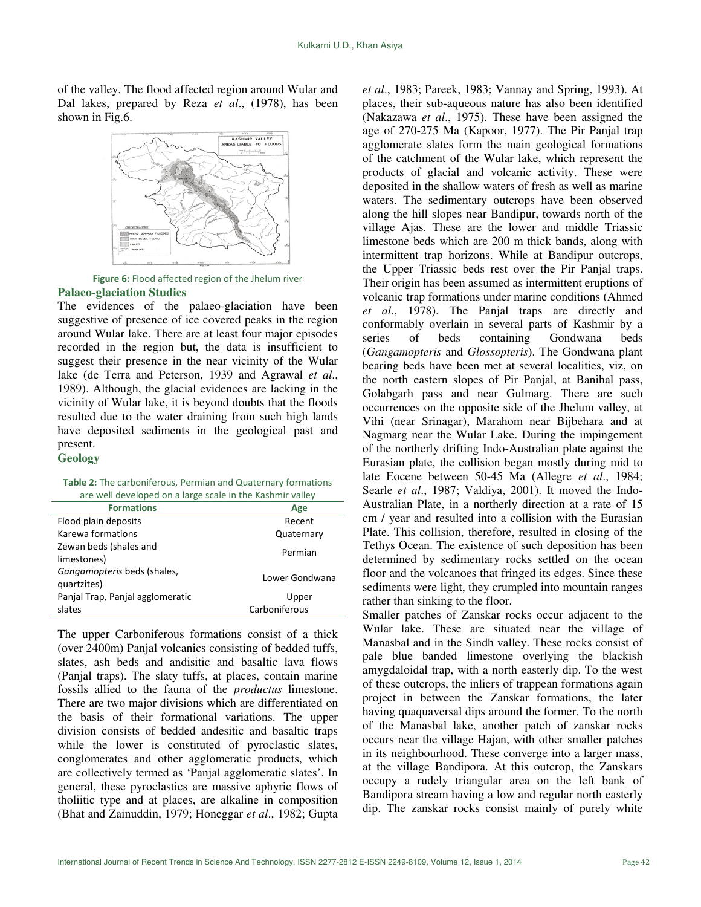of the valley. The flood affected region around Wular and Dal lakes, prepared by Reza *et al*., (1978), has been shown in Fig.6.



Figure 6: Flood affected region of the Jhelum river **Palaeo-glaciation Studies** 

The evidences of the palaeo-glaciation have been suggestive of presence of ice covered peaks in the region around Wular lake. There are at least four major episodes recorded in the region but, the data is insufficient to suggest their presence in the near vicinity of the Wular lake (de Terra and Peterson, 1939 and Agrawal *et al*., 1989). Although, the glacial evidences are lacking in the vicinity of Wular lake, it is beyond doubts that the floods resulted due to the water draining from such high lands have deposited sediments in the geological past and present.

#### **Geology**

Table 2: The carboniferous, Permian and Quaternary formations are well developed on a large scale in the Kashmir valley

| <b>Formations</b>                          | Age            |
|--------------------------------------------|----------------|
| Flood plain deposits                       | Recent         |
| Karewa formations                          | Quaternary     |
| Zewan beds (shales and<br>limestones)      | Permian        |
| Gangamopteris beds (shales,<br>quartzites) | Lower Gondwana |
| Panjal Trap, Panjal agglomeratic           | Upper          |
| slates                                     | Carboniferous  |
|                                            |                |

The upper Carboniferous formations consist of a thick (over 2400m) Panjal volcanics consisting of bedded tuffs, slates, ash beds and andisitic and basaltic lava flows (Panjal traps). The slaty tuffs, at places, contain marine fossils allied to the fauna of the *productus* limestone. There are two major divisions which are differentiated on the basis of their formational variations. The upper division consists of bedded andesitic and basaltic traps while the lower is constituted of pyroclastic slates, conglomerates and other agglomeratic products, which are collectively termed as 'Panjal agglomeratic slates'. In general, these pyroclastics are massive aphyric flows of tholiitic type and at places, are alkaline in composition (Bhat and Zainuddin, 1979; Honeggar *et al*., 1982; Gupta *et al*., 1983; Pareek, 1983; Vannay and Spring, 1993). At places, their sub-aqueous nature has also been identified (Nakazawa *et al*., 1975). These have been assigned the age of 270-275 Ma (Kapoor, 1977). The Pir Panjal trap agglomerate slates form the main geological formations of the catchment of the Wular lake, which represent the products of glacial and volcanic activity. These were deposited in the shallow waters of fresh as well as marine waters. The sedimentary outcrops have been observed along the hill slopes near Bandipur, towards north of the village Ajas. These are the lower and middle Triassic limestone beds which are 200 m thick bands, along with intermittent trap horizons. While at Bandipur outcrops, the Upper Triassic beds rest over the Pir Panjal traps. Their origin has been assumed as intermittent eruptions of volcanic trap formations under marine conditions (Ahmed *et al*., 1978). The Panjal traps are directly and conformably overlain in several parts of Kashmir by a series of beds containing Gondwana beds (*Gangamopteris* and *Glossopteris*). The Gondwana plant bearing beds have been met at several localities, viz, on the north eastern slopes of Pir Panjal, at Banihal pass, Golabgarh pass and near Gulmarg. There are such occurrences on the opposite side of the Jhelum valley, at Vihi (near Srinagar), Marahom near Bijbehara and at Nagmarg near the Wular Lake. During the impingement of the northerly drifting Indo-Australian plate against the Eurasian plate, the collision began mostly during mid to late Eocene between 50-45 Ma (Allegre *et al*., 1984; Searle *et al*., 1987; Valdiya, 2001). It moved the Indo-Australian Plate, in a northerly direction at a rate of 15 cm / year and resulted into a collision with the Eurasian Plate. This collision, therefore, resulted in closing of the Tethys Ocean. The existence of such deposition has been determined by sedimentary rocks settled on the ocean floor and the volcanoes that fringed its edges. Since these sediments were light, they crumpled into mountain ranges rather than sinking to the floor.

Smaller patches of Zanskar rocks occur adjacent to the Wular lake. These are situated near the village of Manasbal and in the Sindh valley. These rocks consist of pale blue banded limestone overlying the blackish amygdaloidal trap, with a north easterly dip. To the west of these outcrops, the inliers of trappean formations again project in between the Zanskar formations, the later having quaquaversal dips around the former. To the north of the Manasbal lake, another patch of zanskar rocks occurs near the village Hajan, with other smaller patches in its neighbourhood. These converge into a larger mass, at the village Bandipora. At this outcrop, the Zanskars occupy a rudely triangular area on the left bank of Bandipora stream having a low and regular north easterly dip. The zanskar rocks consist mainly of purely white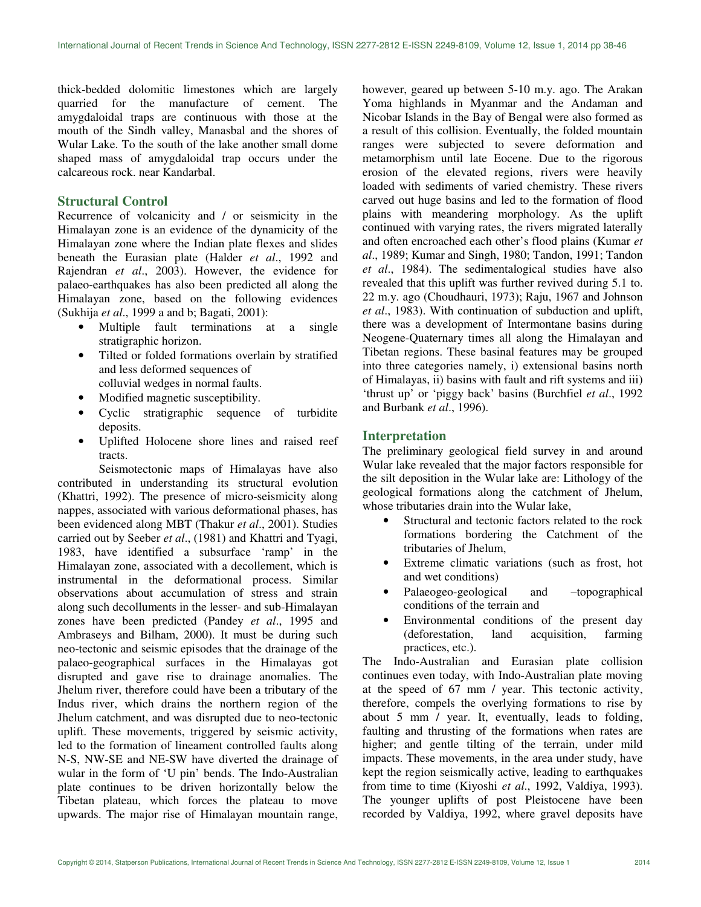thick-bedded dolomitic limestones which are largely quarried for the manufacture of cement. The amygdaloidal traps are continuous with those at the mouth of the Sindh valley, Manasbal and the shores of Wular Lake. To the south of the lake another small dome shaped mass of amygdaloidal trap occurs under the calcareous rock. near Kandarbal.

#### **Structural Control**

Recurrence of volcanicity and / or seismicity in the Himalayan zone is an evidence of the dynamicity of the Himalayan zone where the Indian plate flexes and slides beneath the Eurasian plate (Halder *et al*., 1992 and Rajendran *et al*., 2003). However, the evidence for palaeo-earthquakes has also been predicted all along the Himalayan zone, based on the following evidences (Sukhija *et al*., 1999 a and b; Bagati, 2001):

- Multiple fault terminations at a single stratigraphic horizon.
- Tilted or folded formations overlain by stratified and less deformed sequences of colluvial wedges in normal faults.
- Modified magnetic susceptibility.
- Cyclic stratigraphic sequence of turbidite deposits.
- Uplifted Holocene shore lines and raised reef tracts.

Seismotectonic maps of Himalayas have also contributed in understanding its structural evolution (Khattri, 1992). The presence of micro-seismicity along nappes, associated with various deformational phases, has been evidenced along MBT (Thakur *et al*., 2001). Studies carried out by Seeber *et al*., (1981) and Khattri and Tyagi, 1983, have identified a subsurface 'ramp' in the Himalayan zone, associated with a decollement, which is instrumental in the deformational process. Similar observations about accumulation of stress and strain along such decolluments in the lesser- and sub-Himalayan zones have been predicted (Pandey *et al*., 1995 and Ambraseys and Bilham, 2000). It must be during such neo-tectonic and seismic episodes that the drainage of the palaeo-geographical surfaces in the Himalayas got disrupted and gave rise to drainage anomalies. The Jhelum river, therefore could have been a tributary of the Indus river, which drains the northern region of the Jhelum catchment, and was disrupted due to neo-tectonic uplift. These movements, triggered by seismic activity, led to the formation of lineament controlled faults along N-S, NW-SE and NE-SW have diverted the drainage of wular in the form of 'U pin' bends. The Indo-Australian plate continues to be driven horizontally below the Tibetan plateau, which forces the plateau to move upwards. The major rise of Himalayan mountain range, however, geared up between 5-10 m.y. ago. The Arakan Yoma highlands in Myanmar and the Andaman and Nicobar Islands in the Bay of Bengal were also formed as a result of this collision. Eventually, the folded mountain ranges were subjected to severe deformation and metamorphism until late Eocene. Due to the rigorous erosion of the elevated regions, rivers were heavily loaded with sediments of varied chemistry. These rivers carved out huge basins and led to the formation of flood plains with meandering morphology. As the uplift continued with varying rates, the rivers migrated laterally and often encroached each other's flood plains (Kumar *et al*., 1989; Kumar and Singh, 1980; Tandon, 1991; Tandon *et al*., 1984). The sedimentalogical studies have also revealed that this uplift was further revived during 5.1 to. 22 m.y. ago (Choudhauri, 1973); Raju, 1967 and Johnson *et al*., 1983). With continuation of subduction and uplift, there was a development of Intermontane basins during Neogene-Quaternary times all along the Himalayan and Tibetan regions. These basinal features may be grouped into three categories namely, i) extensional basins north of Himalayas, ii) basins with fault and rift systems and iii) 'thrust up' or 'piggy back' basins (Burchfiel *et al*., 1992 and Burbank *et al*., 1996).

#### **Interpretation**

The preliminary geological field survey in and around Wular lake revealed that the major factors responsible for the silt deposition in the Wular lake are: Lithology of the geological formations along the catchment of Jhelum, whose tributaries drain into the Wular lake,

- Structural and tectonic factors related to the rock formations bordering the Catchment of the tributaries of Jhelum,
- Extreme climatic variations (such as frost, hot and wet conditions)
- Palaeogeo-geological and –topographical conditions of the terrain and
- Environmental conditions of the present day (deforestation, land acquisition, farming practices, etc.).

The Indo-Australian and Eurasian plate collision continues even today, with Indo-Australian plate moving at the speed of 67 mm / year. This tectonic activity, therefore, compels the overlying formations to rise by about 5 mm / year. It, eventually, leads to folding, faulting and thrusting of the formations when rates are higher; and gentle tilting of the terrain, under mild impacts. These movements, in the area under study, have kept the region seismically active, leading to earthquakes from time to time (Kiyoshi *et al*., 1992, Valdiya, 1993). The younger uplifts of post Pleistocene have been recorded by Valdiya, 1992, where gravel deposits have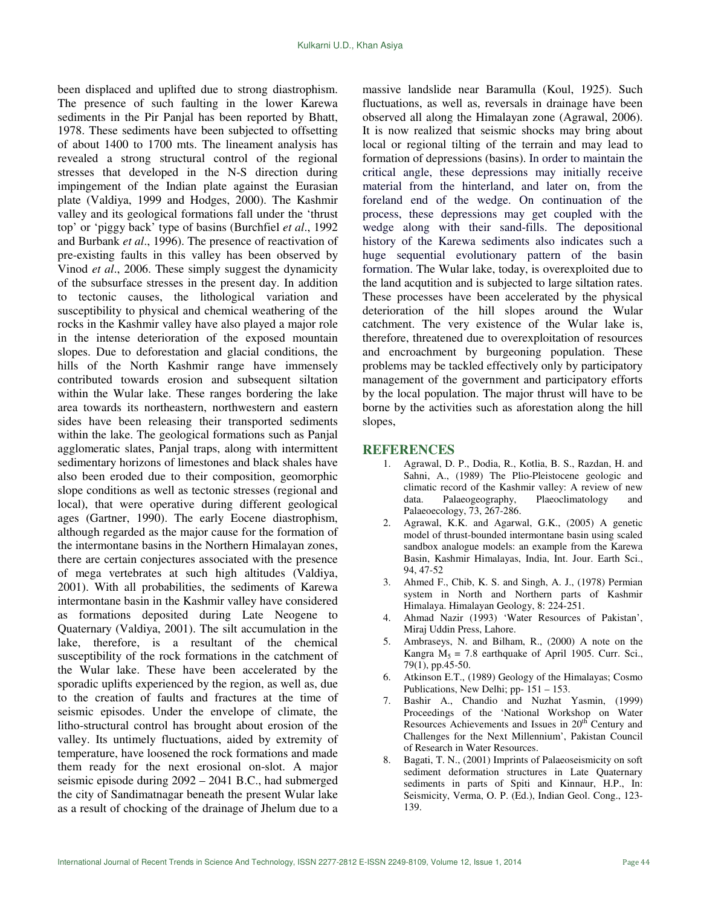been displaced and uplifted due to strong diastrophism. The presence of such faulting in the lower Karewa sediments in the Pir Panjal has been reported by Bhatt, 1978. These sediments have been subjected to offsetting of about 1400 to 1700 mts. The lineament analysis has revealed a strong structural control of the regional stresses that developed in the N-S direction during impingement of the Indian plate against the Eurasian plate (Valdiya, 1999 and Hodges, 2000). The Kashmir valley and its geological formations fall under the 'thrust top' or 'piggy back' type of basins (Burchfiel *et al*., 1992 and Burbank *et al*., 1996). The presence of reactivation of pre-existing faults in this valley has been observed by Vinod *et al*., 2006. These simply suggest the dynamicity of the subsurface stresses in the present day. In addition to tectonic causes, the lithological variation and susceptibility to physical and chemical weathering of the rocks in the Kashmir valley have also played a major role in the intense deterioration of the exposed mountain slopes. Due to deforestation and glacial conditions, the hills of the North Kashmir range have immensely contributed towards erosion and subsequent siltation within the Wular lake. These ranges bordering the lake area towards its northeastern, northwestern and eastern sides have been releasing their transported sediments within the lake. The geological formations such as Panjal agglomeratic slates, Panjal traps, along with intermittent sedimentary horizons of limestones and black shales have also been eroded due to their composition, geomorphic slope conditions as well as tectonic stresses (regional and local), that were operative during different geological ages (Gartner, 1990). The early Eocene diastrophism, although regarded as the major cause for the formation of the intermontane basins in the Northern Himalayan zones, there are certain conjectures associated with the presence of mega vertebrates at such high altitudes (Valdiya, 2001). With all probabilities, the sediments of Karewa intermontane basin in the Kashmir valley have considered as formations deposited during Late Neogene to Quaternary (Valdiya, 2001). The silt accumulation in the lake, therefore, is a resultant of the chemical susceptibility of the rock formations in the catchment of the Wular lake. These have been accelerated by the sporadic uplifts experienced by the region, as well as, due to the creation of faults and fractures at the time of seismic episodes. Under the envelope of climate, the litho-structural control has brought about erosion of the valley. Its untimely fluctuations, aided by extremity of temperature, have loosened the rock formations and made them ready for the next erosional on-slot. A major seismic episode during 2092 – 2041 B.C., had submerged the city of Sandimatnagar beneath the present Wular lake as a result of chocking of the drainage of Jhelum due to a massive landslide near Baramulla (Koul, 1925). Such fluctuations, as well as, reversals in drainage have been observed all along the Himalayan zone (Agrawal, 2006). It is now realized that seismic shocks may bring about local or regional tilting of the terrain and may lead to formation of depressions (basins). In order to maintain the critical angle, these depressions may initially receive material from the hinterland, and later on, from the foreland end of the wedge. On continuation of the process, these depressions may get coupled with the wedge along with their sand-fills. The depositional history of the Karewa sediments also indicates such a huge sequential evolutionary pattern of the basin formation. The Wular lake, today, is overexploited due to the land acqutition and is subjected to large siltation rates. These processes have been accelerated by the physical deterioration of the hill slopes around the Wular catchment. The very existence of the Wular lake is, therefore, threatened due to overexploitation of resources and encroachment by burgeoning population. These problems may be tackled effectively only by participatory management of the government and participatory efforts by the local population. The major thrust will have to be borne by the activities such as aforestation along the hill slopes,

#### **REFERENCES**

- 1. Agrawal, D. P., Dodia, R., Kotlia, B. S., Razdan, H. and Sahni, A., (1989) The Plio-Pleistocene geologic and climatic record of the Kashmir valley: A review of new data. Palaeogeography, Plaeoclimatology and Palaeoecology, 73, 267-286.
- 2. Agrawal, K.K. and Agarwal, G.K., (2005) A genetic model of thrust-bounded intermontane basin using scaled sandbox analogue models: an example from the Karewa Basin, Kashmir Himalayas, India, Int. Jour. Earth Sci., 94, 47-52
- 3. Ahmed F., Chib, K. S. and Singh, A. J., (1978) Permian system in North and Northern parts of Kashmir Himalaya. Himalayan Geology, 8: 224-251.
- 4. Ahmad Nazir (1993) 'Water Resources of Pakistan', Miraj Uddin Press, Lahore.
- 5. Ambraseys, N. and Bilham, R., (2000) A note on the Kangra  $M_5 = 7.8$  earthquake of April 1905. Curr. Sci., 79(1), pp.45-50.
- 6. Atkinson E.T., (1989) Geology of the Himalayas; Cosmo Publications, New Delhi; pp- 151 – 153.
- 7. Bashir A., Chandio and Nuzhat Yasmin, (1999) Proceedings of the 'National Workshop on Water Resources Achievements and Issues in 20<sup>th</sup> Century and Challenges for the Next Millennium', Pakistan Council of Research in Water Resources.
- 8. Bagati, T. N., (2001) Imprints of Palaeoseismicity on soft sediment deformation structures in Late Quaternary sediments in parts of Spiti and Kinnaur, H.P., In: Seismicity, Verma, O. P. (Ed.), Indian Geol. Cong., 123- 139.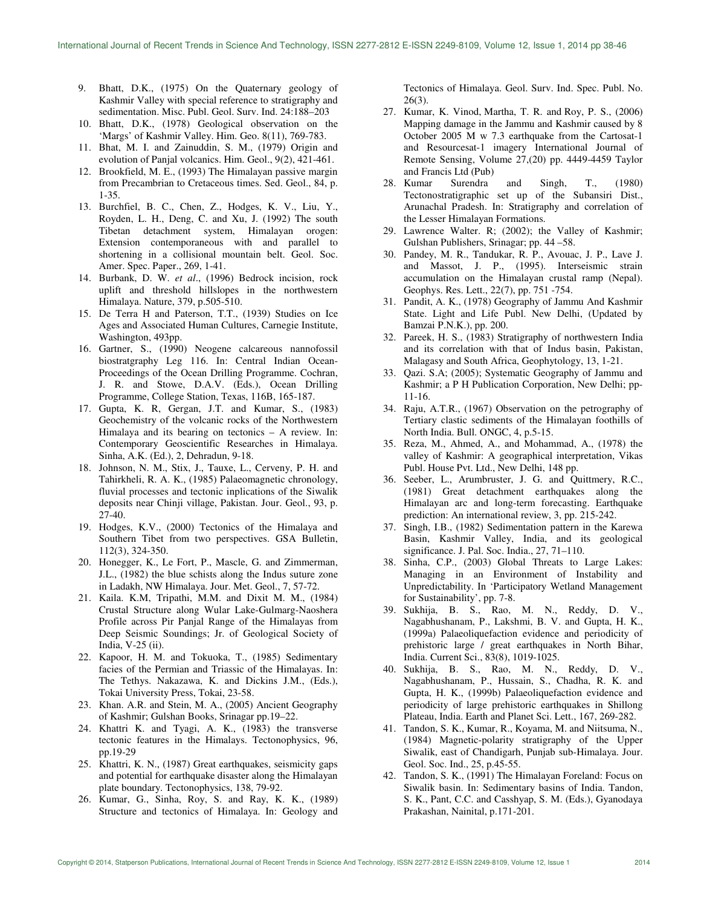- 9. Bhatt, D.K., (1975) On the Quaternary geology of Kashmir Valley with special reference to stratigraphy and sedimentation. Misc. Publ. Geol. Surv. Ind. 24:188–203
- 10. Bhatt, D.K., (1978) Geological observation on the 'Margs' of Kashmir Valley. Him. Geo. 8(11), 769-783.
- 11. Bhat, M. I. and Zainuddin, S. M., (1979) Origin and evolution of Panjal volcanics. Him. Geol., 9(2), 421-461.
- 12. Brookfield, M. E., (1993) The Himalayan passive margin from Precambrian to Cretaceous times. Sed. Geol., 84, p. 1-35.
- 13. Burchfiel, B. C., Chen, Z., Hodges, K. V., Liu, Y., Royden, L. H., Deng, C. and Xu, J. (1992) The south Tibetan detachment system, Himalayan orogen: Extension contemporaneous with and parallel to shortening in a collisional mountain belt. Geol. Soc. Amer. Spec. Paper., 269, 1-41.
- 14. Burbank, D. W. *et al*., (1996) Bedrock incision, rock uplift and threshold hillslopes in the northwestern Himalaya. Nature, 379, p.505-510.
- 15. De Terra H and Paterson, T.T., (1939) Studies on Ice Ages and Associated Human Cultures, Carnegie Institute, Washington, 493pp.
- 16. Gartner, S., (1990) Neogene calcareous nannofossil biostratgraphy Leg 116. In: Central Indian Ocean-Proceedings of the Ocean Drilling Programme. Cochran, J. R. and Stowe, D.A.V. (Eds.), Ocean Drilling Programme, College Station, Texas, 116B, 165-187.
- 17. Gupta, K. R, Gergan, J.T. and Kumar, S., (1983) Geochemistry of the volcanic rocks of the Northwestern Himalaya and its bearing on tectonics – A review. In: Contemporary Geoscientific Researches in Himalaya. Sinha, A.K. (Ed.), 2, Dehradun, 9-18.
- 18. Johnson, N. M., Stix, J., Tauxe, L., Cerveny, P. H. and Tahirkheli, R. A. K., (1985) Palaeomagnetic chronology, fluvial processes and tectonic inplications of the Siwalik deposits near Chinji village, Pakistan. Jour. Geol., 93, p. 27-40.
- 19. Hodges, K.V., (2000) Tectonics of the Himalaya and Southern Tibet from two perspectives. GSA Bulletin, 112(3), 324-350.
- 20. Honegger, K., Le Fort, P., Mascle, G. and Zimmerman, J.L., (1982) the blue schists along the Indus suture zone in Ladakh, NW Himalaya. Jour. Met. Geol., 7, 57-72.
- 21. Kaila. K.M, Tripathi, M.M. and Dixit M. M., (1984) Crustal Structure along Wular Lake-Gulmarg-Naoshera Profile across Pir Panjal Range of the Himalayas from Deep Seismic Soundings; Jr. of Geological Society of India, V-25 (ii).
- 22. Kapoor, H. M. and Tokuoka, T., (1985) Sedimentary facies of the Permian and Triassic of the Himalayas. In: The Tethys. Nakazawa, K. and Dickins J.M., (Eds.), Tokai University Press, Tokai, 23-58.
- 23. Khan. A.R. and Stein, M. A., (2005) Ancient Geography of Kashmir; Gulshan Books, Srinagar pp.19–22.
- 24. Khattri K. and Tyagi, A. K., (1983) the transverse tectonic features in the Himalays. Tectonophysics, 96, pp.19-29
- 25. Khattri, K. N., (1987) Great earthquakes, seismicity gaps and potential for earthquake disaster along the Himalayan plate boundary. Tectonophysics, 138, 79-92.
- 26. Kumar, G., Sinha, Roy, S. and Ray, K. K., (1989) Structure and tectonics of Himalaya. In: Geology and

Tectonics of Himalaya. Geol. Surv. Ind. Spec. Publ. No. 26(3).

- 27. Kumar, K. Vinod, Martha, T. R. and Roy, P. S., (2006) Mapping damage in the Jammu and Kashmir caused by 8 October 2005 M w 7.3 earthquake from the Cartosat-1 and Resourcesat-1 imagery International Journal of Remote Sensing, Volume 27,(20) pp. 4449-4459 Taylor and Francis Ltd (Pub)
- 28. Kumar Surendra and Singh, T., (1980) Tectonostratigraphic set up of the Subansiri Dist., Arunachal Pradesh. In: Stratigraphy and correlation of the Lesser Himalayan Formations.
- 29. Lawrence Walter. R; (2002); the Valley of Kashmir; Gulshan Publishers, Srinagar; pp. 44 –58.
- 30. Pandey, M. R., Tandukar, R. P., Avouac, J. P., Lave J. and Massot, J. P., (1995). Interseismic strain accumulation on the Himalayan crustal ramp (Nepal). Geophys. Res. Lett., 22(7), pp. 751 -754.
- 31. Pandit, A. K., (1978) Geography of Jammu And Kashmir State. Light and Life Publ. New Delhi, (Updated by Bamzai P.N.K.), pp. 200.
- 32. Pareek, H. S., (1983) Stratigraphy of northwestern India and its correlation with that of Indus basin, Pakistan, Malagasy and South Africa, Geophytology, 13, 1-21.
- 33. Qazi. S.A; (2005); Systematic Geography of Jammu and Kashmir; a P H Publication Corporation, New Delhi; pp-11-16.
- 34. Raju, A.T.R., (1967) Observation on the petrography of Tertiary clastic sediments of the Himalayan foothills of North India. Bull. ONGC, 4, p.5-15.
- 35. Reza, M., Ahmed, A., and Mohammad, A., (1978) the valley of Kashmir: A geographical interpretation, Vikas Publ. House Pvt. Ltd., New Delhi, 148 pp.
- 36. Seeber, L., Arumbruster, J. G. and Quittmery, R.C., (1981) Great detachment earthquakes along the Himalayan arc and long-term forecasting. Earthquake prediction: An international review, 3, pp. 215-242.
- 37. Singh, I.B., (1982) Sedimentation pattern in the Karewa Basin, Kashmir Valley, India, and its geological significance. J. Pal. Soc. India., 27, 71–110.
- 38. Sinha, C.P., (2003) Global Threats to Large Lakes: Managing in an Environment of Instability and Unpredictability. In 'Participatory Wetland Management for Sustainability', pp. 7-8.
- 39. Sukhija, B. S., Rao, M. N., Reddy, D. V., Nagabhushanam, P., Lakshmi, B. V. and Gupta, H. K., (1999a) Palaeoliquefaction evidence and periodicity of prehistoric large / great earthquakes in North Bihar, India. Current Sci., 83(8), 1019-1025.
- 40. Sukhija, B. S., Rao, M. N., Reddy, D. V., Nagabhushanam, P., Hussain, S., Chadha, R. K. and Gupta, H. K., (1999b) Palaeoliquefaction evidence and periodicity of large prehistoric earthquakes in Shillong Plateau, India. Earth and Planet Sci. Lett., 167, 269-282.
- 41. Tandon, S. K., Kumar, R., Koyama, M. and Niitsuma, N., (1984) Magnetic-polarity stratigraphy of the Upper Siwalik, east of Chandigarh, Punjab sub-Himalaya. Jour. Geol. Soc. Ind., 25, p.45-55.
- 42. Tandon, S. K., (1991) The Himalayan Foreland: Focus on Siwalik basin. In: Sedimentary basins of India. Tandon, S. K., Pant, C.C. and Casshyap, S. M. (Eds.), Gyanodaya Prakashan, Nainital, p.171-201.